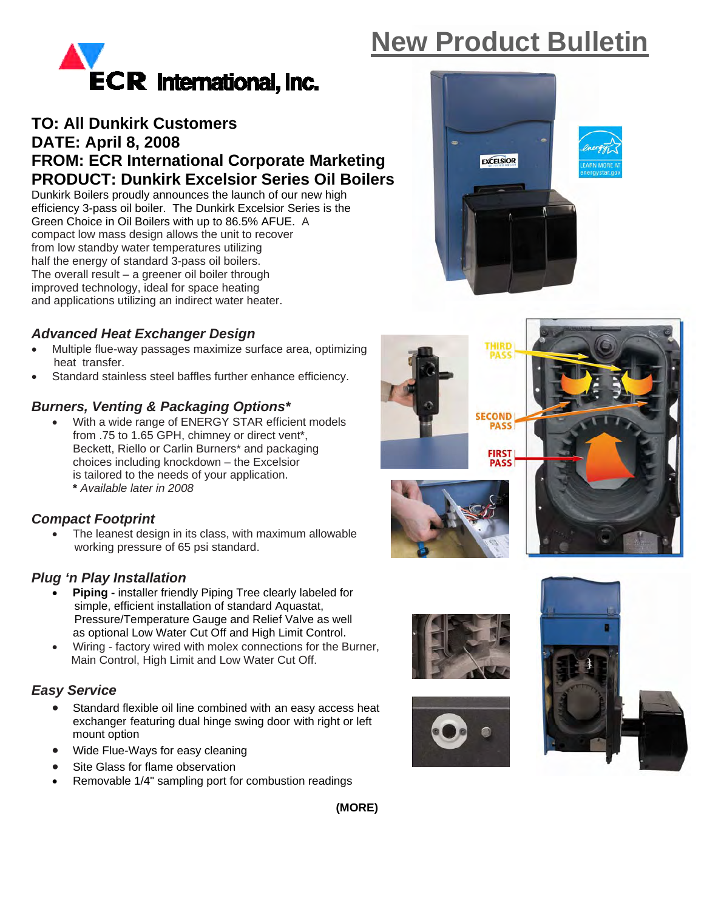# **New Product Bulletin**



# **TO: All Dunkirk Customers DATE: April 8, 2008 FROM: ECR International Corporate Marketing PRODUCT: Dunkirk Excelsior Series Oil Boilers**

Dunkirk Boilers proudly announces the launch of our new high efficiency 3-pass oil boiler. The Dunkirk Excelsior Series is the Green Choice in Oil Boilers with up to 86.5% AFUE. A compact low mass design allows the unit to recover from low standby water temperatures utilizing half the energy of standard 3-pass oil boilers. The overall result – a greener oil boiler through improved technology, ideal for space heating and applications utilizing an indirect water heater.

## *Advanced Heat Exchanger Design*

- Multiple flue-way passages maximize surface area, optimizing heat transfer.
- Standard stainless steel baffles further enhance efficiency.

## *Burners, Venting & Packaging Options\**

With a wide range of ENERGY STAR efficient models from .75 to 1.65 GPH, chimney or direct vent\*, Beckett, Riello or Carlin Burners\* and packaging choices including knockdown – the Excelsior is tailored to the needs of your application. **\*** *Available later in 2008*

#### *Compact Footprint*

• The leanest design in its class, with maximum allowable working pressure of 65 psi standard.

#### *Plug 'n Play Installation*

- **Piping** installer friendly Piping Tree clearly labeled for simple, efficient installation of standard Aquastat, Pressure/Temperature Gauge and Relief Valve as well as optional Low Water Cut Off and High Limit Control.
- Wiring factory wired with molex connections for the Burner, Main Control, High Limit and Low Water Cut Off.

#### *Easy Service*

- Standard flexible oil line combined with an easy access heat exchanger featuring dual hinge swing door with right or left mount option
- Wide Flue-Ways for easy cleaning
- Site Glass for flame observation
- Removable 1/4" sampling port for combustion readings











**(MORE)**